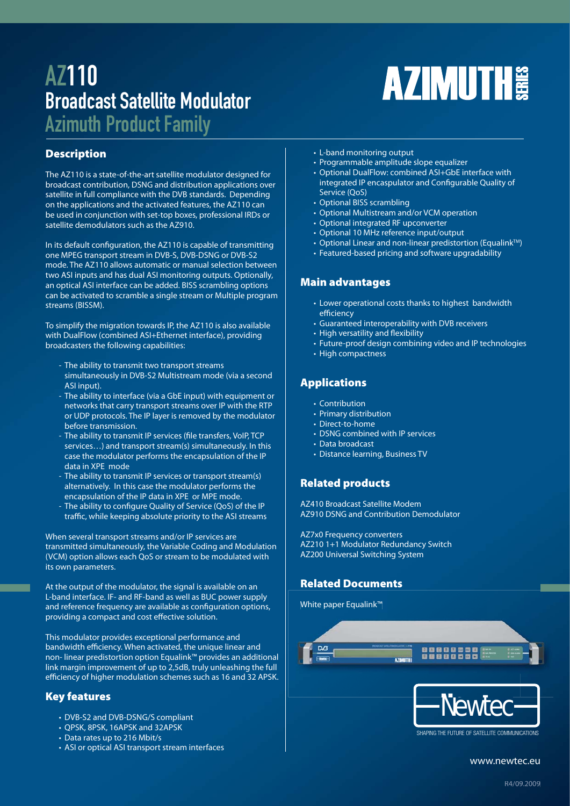# AZ110 Broadcast Satellite Modulator

Azimuth Product Family

# **Description**

The AZ110 is a state-of-the-art satellite modulator designed for broadcast contribution, DSNG and distribution applications over satellite in full compliance with the DVB standards. Depending on the applications and the activated features, the AZ110 can be used in conjunction with set-top boxes, professional IRDs or satellite demodulators such as the AZ910.

In its default configuration, the AZ110 is capable of transmitting one MPEG transport stream in DVB-S, DVB-DSNG or DVB-S2 mode. The AZ110 allows automatic or manual selection between two ASI inputs and has dual ASI monitoring outputs. Optionally, an optical ASI interface can be added. BISS scrambling options can be activated to scramble a single stream or Multiple program streams (BISSM).

To simplify the migration towards IP, the AZ110 is also available with DualFlow (combined ASI+Ethernet interface), providing broadcasters the following capabilities:

- The ability to transmit two transport streams simultaneously in DVB-S2 Multistream mode (via a second ASI input).
- The ability to interface (via a GbE input) with equipment or networks that carry transport streams over IP with the RTP or UDP protocols. The IP layer is removed by the modulator before transmission.
- The ability to transmit IP services (file transfers, VoIP, TCP services…) and transport stream(s) simultaneously. In this case the modulator performs the encapsulation of the IP data in XPE mode
- The ability to transmit IP services or transport stream(s) alternatively. In this case the modulator performs the encapsulation of the IP data in XPE or MPE mode.
- The ability to configure Quality of Service (QoS) of the IP traffic, while keeping absolute priority to the ASI streams

When several transport streams and/or IP services are transmitted simultaneously, the Variable Coding and Modulation (VCM) option allows each QoS or stream to be modulated with its own parameters.

At the output of the modulator, the signal is available on an L-band interface. IF- and RF-band as well as BUC power supply and reference frequency are available as configuration options, providing a compact and cost effective solution.

This modulator provides exceptional performance and bandwidth efficiency. When activated, the unique linear and non- linear predistortion option Equalink™ provides an additional link margin improvement of up to 2,5dB, truly unleashing the full efficiency of higher modulation schemes such as 16 and 32 APSK.

# **Key features**

- DVB-S2 and DVB-DSNG/S compliant
- QPSK, 8PSK, 16APSK and 32APSK
- Data rates up to 216 Mbit/s
- ASI or optical ASI transport stream interfaces
- L-band monitoring output
- Programmable amplitude slope equalizer
- Optional DualFlow: combined ASI+GbE interface with integrated IP encaspulator and Configurable Quality of Service (QoS)

**AZIMUTH** 

- Optional BISS scrambling
- Optional Multistream and/or VCM operation
- Optional integrated RF upconverter
- Optional 10 MHz reference input/output
- Optional Linear and non-linear predistortion (Equalink<sup>TM</sup>)
- Featured-based pricing and software upgradability

# **Main advantages**

- Lower operational costs thanks to highest bandwidth efficiency
- Guaranteed interoperability with DVB receivers
- High versatility and flexibility
- Future-proof design combining video and IP technologies
- High compactness

# **Applications**

- Contribution
- Primary distribution
- Direct-to-home
- DSNG combined with IP services
- Data broadcast
- Distance learning, Business TV

# **Related products**

AZ410 Broadcast Satellite Modem AZ910 DSNG and Contribution Demodulator

AZ7x0 Frequency converters AZ210 1+1 Modulator Redundancy Switch AZ200 Universal Switching System

# **Related Documents**

White paper Equalink™



www.newtec.eu